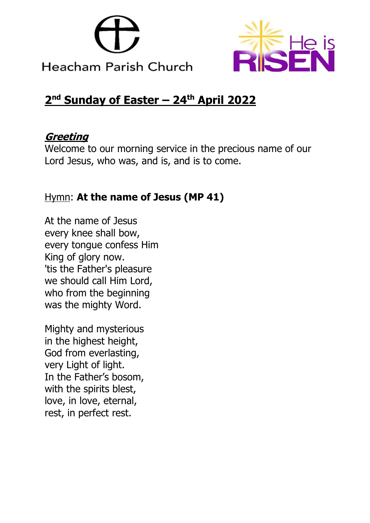



# **2 nd Sunday of Easter – 24th April 2022**

# **Greeting**

Welcome to our morning service in the precious name of our Lord Jesus, who was, and is, and is to come.

# Hymn: **At the name of Jesus (MP 41)**

At the name of Jesus every knee shall bow, every tongue confess Him King of glory now. 'tis the Father's pleasure we should call Him Lord, who from the beginning was the mighty Word.

Mighty and mysterious in the highest height, God from everlasting, very Light of light. In the Father's bosom, with the spirits blest, love, in love, eternal, rest, in perfect rest.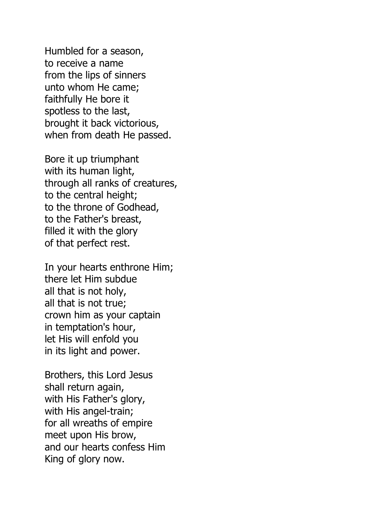Humbled for a season, to receive a name from the lips of sinners unto whom He came; faithfully He bore it spotless to the last, brought it back victorious, when from death He passed.

Bore it up triumphant with its human light, through all ranks of creatures, to the central height; to the throne of Godhead, to the Father's breast, filled it with the glory of that perfect rest.

In your hearts enthrone Him; there let Him subdue all that is not holy, all that is not true; crown him as your captain in temptation's hour, let His will enfold you in its light and power.

Brothers, this Lord Jesus shall return again, with His Father's glory, with His angel-train; for all wreaths of empire meet upon His brow, and our hearts confess Him King of glory now.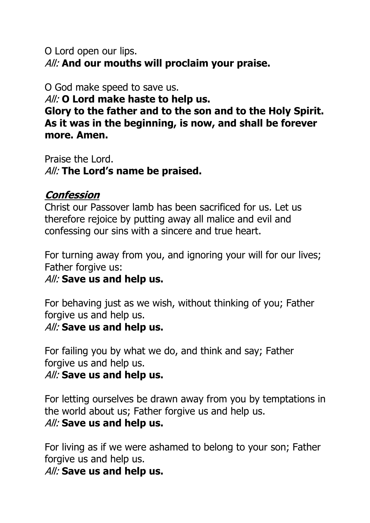### O Lord open our lips. All: **And our mouths will proclaim your praise.**

#### O God make speed to save us.

All: **O Lord make haste to help us.** 

**Glory to the father and to the son and to the Holy Spirit. As it was in the beginning, is now, and shall be forever more. Amen.**

Praise the Lord. All: **The Lord's name be praised.**

### **Confession**

Christ our Passover lamb has been sacrificed for us. Let us therefore rejoice by putting away all malice and evil and confessing our sins with a sincere and true heart.

For turning away from you, and ignoring your will for our lives; Father forgive us:

# All: **Save us and help us.**

For behaving just as we wish, without thinking of you; Father forgive us and help us.

#### All: **Save us and help us.**

For failing you by what we do, and think and say; Father forgive us and help us.

#### All: **Save us and help us.**

For letting ourselves be drawn away from you by temptations in the world about us; Father forgive us and help us.

# All: **Save us and help us.**

For living as if we were ashamed to belong to your son; Father forgive us and help us.

All: **Save us and help us.**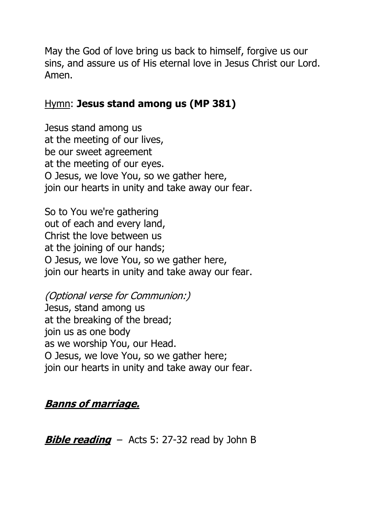May the God of love bring us back to himself, forgive us our sins, and assure us of His eternal love in Jesus Christ our Lord. Amen.

#### Hymn: **Jesus stand among us (MP 381)**

Jesus stand among us at the meeting of our lives, be our sweet agreement at the meeting of our eyes. O Jesus, we love You, so we gather here, join our hearts in unity and take away our fear.

So to You we're gathering out of each and every land, Christ the love between us at the joining of our hands; O Jesus, we love You, so we gather here, join our hearts in unity and take away our fear.

(Optional verse for Communion:) Jesus, stand among us at the breaking of the bread; join us as one body as we worship You, our Head. O Jesus, we love You, so we gather here; join our hearts in unity and take away our fear.

# **Banns of marriage.**

**Bible reading** – Acts 5: 27-32 read by John B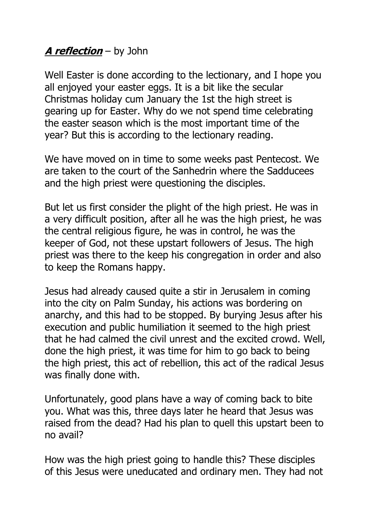# **A reflection** – by John

Well Easter is done according to the lectionary, and I hope you all enjoyed your easter eggs. It is a bit like the secular Christmas holiday cum January the 1st the high street is gearing up for Easter. Why do we not spend time celebrating the easter season which is the most important time of the year? But this is according to the lectionary reading.

We have moved on in time to some weeks past Pentecost. We are taken to the court of the Sanhedrin where the Sadducees and the high priest were questioning the disciples.

But let us first consider the plight of the high priest. He was in a very difficult position, after all he was the high priest, he was the central religious figure, he was in control, he was the keeper of God, not these upstart followers of Jesus. The high priest was there to the keep his congregation in order and also to keep the Romans happy.

Jesus had already caused quite a stir in Jerusalem in coming into the city on Palm Sunday, his actions was bordering on anarchy, and this had to be stopped. By burying Jesus after his execution and public humiliation it seemed to the high priest that he had calmed the civil unrest and the excited crowd. Well, done the high priest, it was time for him to go back to being the high priest, this act of rebellion, this act of the radical Jesus was finally done with.

Unfortunately, good plans have a way of coming back to bite you. What was this, three days later he heard that Jesus was raised from the dead? Had his plan to quell this upstart been to no avail?

How was the high priest going to handle this? These disciples of this Jesus were uneducated and ordinary men. They had not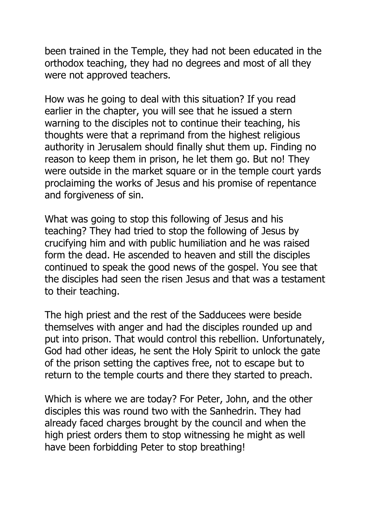been trained in the Temple, they had not been educated in the orthodox teaching, they had no degrees and most of all they were not approved teachers.

How was he going to deal with this situation? If you read earlier in the chapter, you will see that he issued a stern warning to the disciples not to continue their teaching, his thoughts were that a reprimand from the highest religious authority in Jerusalem should finally shut them up. Finding no reason to keep them in prison, he let them go. But no! They were outside in the market square or in the temple court yards proclaiming the works of Jesus and his promise of repentance and forgiveness of sin.

What was going to stop this following of Jesus and his teaching? They had tried to stop the following of Jesus by crucifying him and with public humiliation and he was raised form the dead. He ascended to heaven and still the disciples continued to speak the good news of the gospel. You see that the disciples had seen the risen Jesus and that was a testament to their teaching.

The high priest and the rest of the Sadducees were beside themselves with anger and had the disciples rounded up and put into prison. That would control this rebellion. Unfortunately, God had other ideas, he sent the Holy Spirit to unlock the gate of the prison setting the captives free, not to escape but to return to the temple courts and there they started to preach.

Which is where we are today? For Peter, John, and the other disciples this was round two with the Sanhedrin. They had already faced charges brought by the council and when the high priest orders them to stop witnessing he might as well have been forbidding Peter to stop breathing!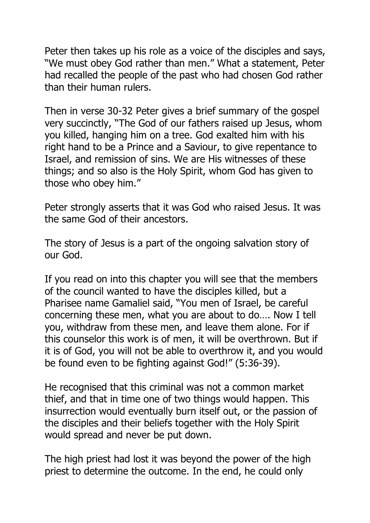Peter then takes up his role as a voice of the disciples and says, "We must obey God rather than men." What a statement, Peter had recalled the people of the past who had chosen God rather than their human rulers.

Then in verse 30-32 Peter gives a brief summary of the gospel very succinctly, "The God of our fathers raised up Jesus, whom you killed, hanging him on a tree. God exalted him with his right hand to be a Prince and a Saviour, to give repentance to Israel, and remission of sins. We are His witnesses of these things; and so also is the Holy Spirit, whom God has given to those who obey him."

Peter strongly asserts that it was God who raised Jesus. It was the same God of their ancestors.

The story of Jesus is a part of the ongoing salvation story of our God.

If you read on into this chapter you will see that the members of the council wanted to have the disciples killed, but a Pharisee name Gamaliel said, "You men of Israel, be careful concerning these men, what you are about to do…. Now I tell you, withdraw from these men, and leave them alone. For if this counselor this work is of men, it will be overthrown. But if it is of God, you will not be able to overthrow it, and you would be found even to be fighting against God!" (5:36-39).

He recognised that this criminal was not a common market thief, and that in time one of two things would happen. This insurrection would eventually burn itself out, or the passion of the disciples and their beliefs together with the Holy Spirit would spread and never be put down.

The high priest had lost it was beyond the power of the high priest to determine the outcome. In the end, he could only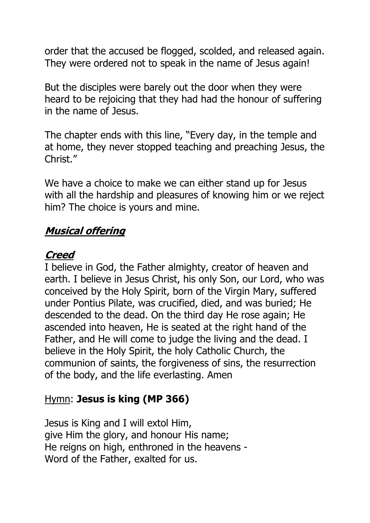order that the accused be flogged, scolded, and released again. They were ordered not to speak in the name of Jesus again!

But the disciples were barely out the door when they were heard to be rejoicing that they had had the honour of suffering in the name of Jesus.

The chapter ends with this line, "Every day, in the temple and at home, they never stopped teaching and preaching Jesus, the Christ."

We have a choice to make we can either stand up for Jesus with all the hardship and pleasures of knowing him or we reject him? The choice is yours and mine.

# **Musical offering**

#### **Creed**

I believe in God, the Father almighty, creator of heaven and earth. I believe in Jesus Christ, his only Son, our Lord, who was conceived by the Holy Spirit, born of the Virgin Mary, suffered under Pontius Pilate, was crucified, died, and was buried; He descended to the dead. On the third day He rose again; He ascended into heaven, He is seated at the right hand of the Father, and He will come to judge the living and the dead. I believe in the Holy Spirit, the holy Catholic Church, the communion of saints, the forgiveness of sins, the resurrection of the body, and the life everlasting. Amen

# Hymn: **Jesus is king (MP 366)**

Jesus is King and I will extol Him, give Him the glory, and honour His name; He reigns on high, enthroned in the heavens - Word of the Father, exalted for us.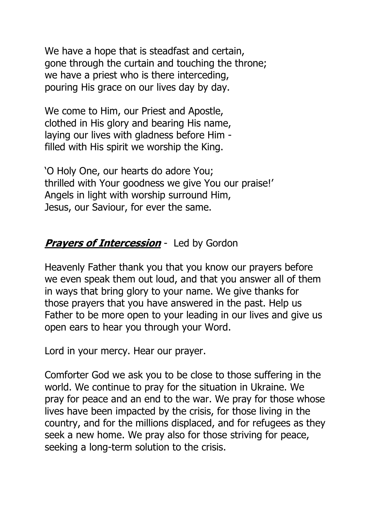We have a hope that is steadfast and certain, gone through the curtain and touching the throne; we have a priest who is there interceding, pouring His grace on our lives day by day.

We come to Him, our Priest and Apostle, clothed in His glory and bearing His name, laying our lives with gladness before Him filled with His spirit we worship the King.

'O Holy One, our hearts do adore You; thrilled with Your goodness we give You our praise!' Angels in light with worship surround Him, Jesus, our Saviour, for ever the same.

### **Prayers of Intercession** - Led by Gordon

Heavenly Father thank you that you know our prayers before we even speak them out loud, and that you answer all of them in ways that bring glory to your name. We give thanks for those prayers that you have answered in the past. Help us Father to be more open to your leading in our lives and give us open ears to hear you through your Word.

Lord in your mercy. Hear our prayer.

Comforter God we ask you to be close to those suffering in the world. We continue to pray for the situation in Ukraine. We pray for peace and an end to the war. We pray for those whose lives have been impacted by the crisis, for those living in the country, and for the millions displaced, and for refugees as they seek a new home. We pray also for those striving for peace, seeking a long-term solution to the crisis.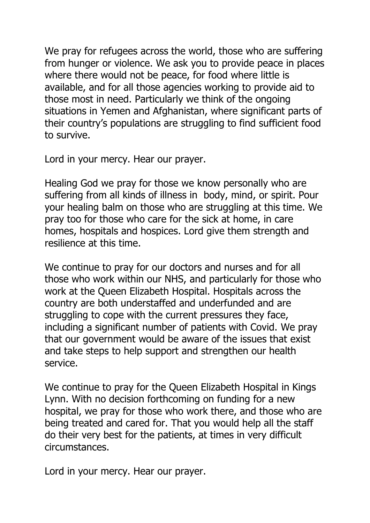We pray for refugees across the world, those who are suffering from hunger or violence. We ask you to provide peace in places where there would not be peace, for food where little is available, and for all those agencies working to provide aid to those most in need. Particularly we think of the ongoing situations in Yemen and Afghanistan, where significant parts of their country's populations are struggling to find sufficient food to survive.

Lord in your mercy. Hear our prayer.

Healing God we pray for those we know personally who are suffering from all kinds of illness in body, mind, or spirit. Pour your healing balm on those who are struggling at this time. We pray too for those who care for the sick at home, in care homes, hospitals and hospices. Lord give them strength and resilience at this time.

We continue to pray for our doctors and nurses and for all those who work within our NHS, and particularly for those who work at the Queen Elizabeth Hospital. Hospitals across the country are both understaffed and underfunded and are struggling to cope with the current pressures they face, including a significant number of patients with Covid. We pray that our government would be aware of the issues that exist and take steps to help support and strengthen our health service.

We continue to pray for the Queen Elizabeth Hospital in Kings Lynn. With no decision forthcoming on funding for a new hospital, we pray for those who work there, and those who are being treated and cared for. That you would help all the staff do their very best for the patients, at times in very difficult circumstances.

Lord in your mercy. Hear our prayer.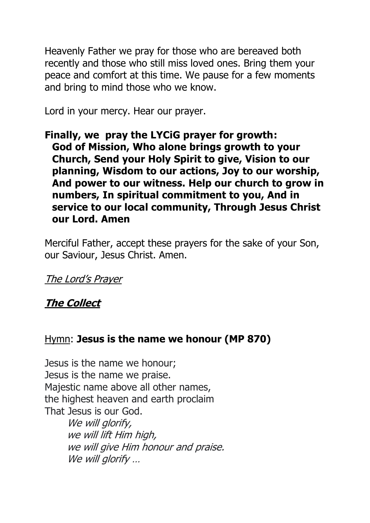Heavenly Father we pray for those who are bereaved both recently and those who still miss loved ones. Bring them your peace and comfort at this time. We pause for a few moments and bring to mind those who we know.

Lord in your mercy. Hear our prayer.

**Finally, we pray the LYCiG prayer for growth: God of Mission, Who alone brings growth to your Church, Send your Holy Spirit to give, Vision to our planning, Wisdom to our actions, Joy to our worship, And power to our witness. Help our church to grow in numbers, In spiritual commitment to you, And in service to our local community, Through Jesus Christ our Lord. Amen**

Merciful Father, accept these prayers for the sake of your Son, our Saviour, Jesus Christ. Amen.

The Lord's Prayer

**The Collect**

# Hymn: **Jesus is the name we honour (MP 870)**

Jesus is the name we honour; Jesus is the name we praise. Majestic name above all other names, the highest heaven and earth proclaim That Jesus is our God.

We will glorify, we will lift Him high, we will give Him honour and praise. We will glorify ...